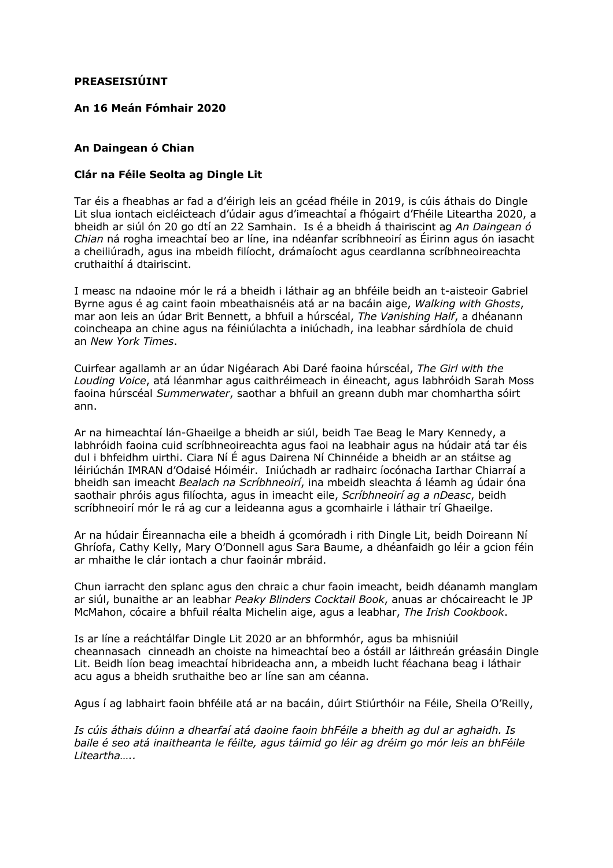## **PREASEISIÚINT**

## **An 16 Meán Fómhair 2020**

### **An Daingean ó Chian**

### **Clár na Féile Seolta ag Dingle Lit**

Tar éis a fheabhas ar fad a d'éirigh leis an gcéad fhéile in 2019, is cúis áthais do Dingle Lit slua iontach eicléicteach d'údair agus d'imeachtaí a fhógairt d'Fhéile Liteartha 2020, a bheidh ar siúl ón 20 go dtí an 22 Samhain. Is é a bheidh á thairiscint ag *An Daingean ó Chian* ná rogha imeachtaí beo ar líne, ina ndéanfar scríbhneoirí as Éirinn agus ón iasacht a cheiliúradh, agus ina mbeidh filíocht, drámaíocht agus ceardlanna scríbhneoireachta cruthaithí á dtairiscint.

I measc na ndaoine mór le rá a bheidh i láthair ag an bhféile beidh an t-aisteoir Gabriel Byrne agus é ag caint faoin mbeathaisnéis atá ar na bacáin aige, *Walking with Ghosts*, mar aon leis an údar Brit Bennett, a bhfuil a húrscéal, *The Vanishing Half*, a dhéanann coincheapa an chine agus na féiniúlachta a iniúchadh, ina leabhar sárdhíola de chuid an *New York Times*.

Cuirfear agallamh ar an údar Nigéarach Abi Daré faoina húrscéal, *The Girl with the Louding Voice*, atá léanmhar agus caithréimeach in éineacht, agus labhróidh Sarah Moss faoina húrscéal *Summerwater*, saothar a bhfuil an greann dubh mar chomhartha sóirt ann.

Ar na himeachtaí lán-Ghaeilge a bheidh ar siúl, beidh Tae Beag le Mary Kennedy, a labhróidh faoina cuid scríbhneoireachta agus faoi na leabhair agus na húdair atá tar éis dul i bhfeidhm uirthi. Ciara Ní É agus Dairena Ní Chinnéide a bheidh ar an stáitse ag léiriúchán IMRAN d'Odaisé Hóiméir. Iniúchadh ar radhairc íocónacha Iarthar Chiarraí a bheidh san imeacht *Bealach na Scríbhneoirí*, ina mbeidh sleachta á léamh ag údair óna saothair phróis agus filíochta, agus in imeacht eile, *Scríbhneoirí ag a nDeasc*, beidh scríbhneoirí mór le rá ag cur a leideanna agus a gcomhairle i láthair trí Ghaeilge.

Ar na húdair Éireannacha eile a bheidh á gcomóradh i rith Dingle Lit, beidh Doireann Ní Ghríofa, Cathy Kelly, Mary O'Donnell agus Sara Baume, a dhéanfaidh go léir a gcion féin ar mhaithe le clár iontach a chur faoinár mbráid.

Chun iarracht den splanc agus den chraic a chur faoin imeacht, beidh déanamh manglam ar siúl, bunaithe ar an leabhar *Peaky Blinders Cocktail Book*, anuas ar chócaireacht le JP McMahon, cócaire a bhfuil réalta Michelin aige, agus a leabhar, *The Irish Cookbook*.

Is ar líne a reáchtálfar Dingle Lit 2020 ar an bhformhór, agus ba mhisniúil cheannasach cinneadh an choiste na himeachtaí beo a óstáil ar láithreán gréasáin Dingle Lit. Beidh líon beag imeachtaí hibrideacha ann, a mbeidh lucht féachana beag i láthair acu agus a bheidh sruthaithe beo ar líne san am céanna.

Agus í ag labhairt faoin bhféile atá ar na bacáin, dúirt Stiúrthóir na Féile, Sheila O'Reilly,

*Is cúis áthais dúinn a dhearfaí atá daoine faoin bhFéile a bheith ag dul ar aghaidh. Is baile é seo atá inaitheanta le féilte, agus táimid go léir ag dréim go mór leis an bhFéile Liteartha…..*